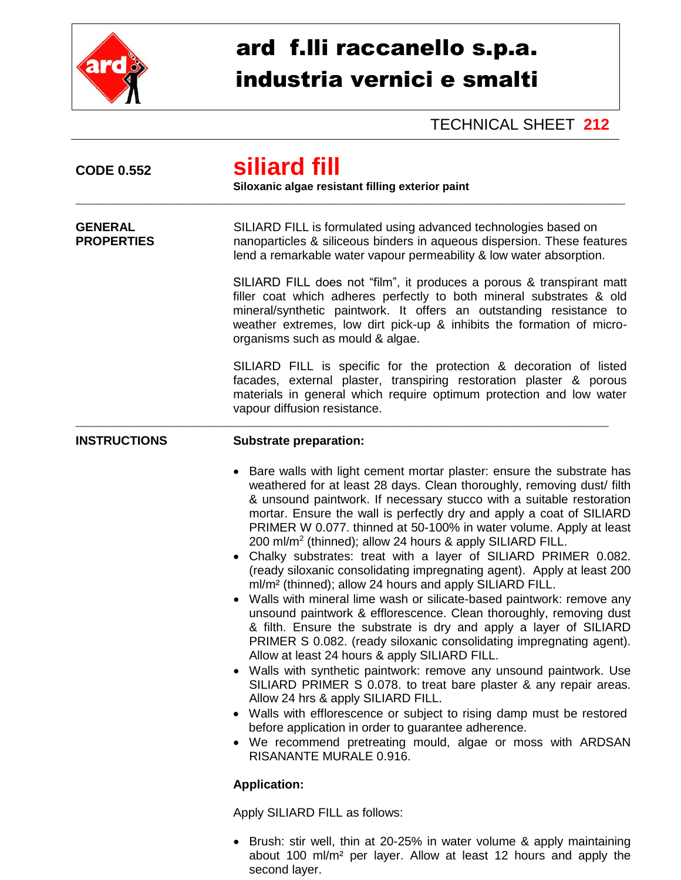

## ard f.lli raccanello s.p.a. industria vernici e smalti

TECHNICAL SHEET **212**

| <b>CODE 0.552</b>                   | siliard fill<br>Siloxanic algae resistant filling exterior paint                                                                                                                                                                                                                                                                                                                                                                                                                                                                                                                                                                                                                                                                                                                                                                                                                                                                                                                                                                                                                                                                                                                                                                                                                                                                                                                                                                                          |
|-------------------------------------|-----------------------------------------------------------------------------------------------------------------------------------------------------------------------------------------------------------------------------------------------------------------------------------------------------------------------------------------------------------------------------------------------------------------------------------------------------------------------------------------------------------------------------------------------------------------------------------------------------------------------------------------------------------------------------------------------------------------------------------------------------------------------------------------------------------------------------------------------------------------------------------------------------------------------------------------------------------------------------------------------------------------------------------------------------------------------------------------------------------------------------------------------------------------------------------------------------------------------------------------------------------------------------------------------------------------------------------------------------------------------------------------------------------------------------------------------------------|
| <b>GENERAL</b><br><b>PROPERTIES</b> | SILIARD FILL is formulated using advanced technologies based on<br>nanoparticles & siliceous binders in aqueous dispersion. These features<br>lend a remarkable water vapour permeability & low water absorption.                                                                                                                                                                                                                                                                                                                                                                                                                                                                                                                                                                                                                                                                                                                                                                                                                                                                                                                                                                                                                                                                                                                                                                                                                                         |
|                                     | SILIARD FILL does not "film", it produces a porous & transpirant matt<br>filler coat which adheres perfectly to both mineral substrates & old<br>mineral/synthetic paintwork. It offers an outstanding resistance to<br>weather extremes, low dirt pick-up & inhibits the formation of micro-<br>organisms such as mould & algae.                                                                                                                                                                                                                                                                                                                                                                                                                                                                                                                                                                                                                                                                                                                                                                                                                                                                                                                                                                                                                                                                                                                         |
|                                     | SILIARD FILL is specific for the protection & decoration of listed<br>facades, external plaster, transpiring restoration plaster & porous<br>materials in general which require optimum protection and low water<br>vapour diffusion resistance.                                                                                                                                                                                                                                                                                                                                                                                                                                                                                                                                                                                                                                                                                                                                                                                                                                                                                                                                                                                                                                                                                                                                                                                                          |
| <b>INSTRUCTIONS</b>                 | <b>Substrate preparation:</b>                                                                                                                                                                                                                                                                                                                                                                                                                                                                                                                                                                                                                                                                                                                                                                                                                                                                                                                                                                                                                                                                                                                                                                                                                                                                                                                                                                                                                             |
|                                     | Bare walls with light cement mortar plaster: ensure the substrate has<br>$\bullet$<br>weathered for at least 28 days. Clean thoroughly, removing dust/ filth<br>& unsound paintwork. If necessary stucco with a suitable restoration<br>mortar. Ensure the wall is perfectly dry and apply a coat of SILIARD<br>PRIMER W 0.077. thinned at 50-100% in water volume. Apply at least<br>200 ml/m <sup>2</sup> (thinned); allow 24 hours & apply SILIARD FILL.<br>Chalky substrates: treat with a layer of SILIARD PRIMER 0.082.<br>$\bullet$<br>(ready siloxanic consolidating impregnating agent). Apply at least 200<br>ml/m <sup>2</sup> (thinned); allow 24 hours and apply SILIARD FILL.<br>Walls with mineral lime wash or silicate-based paintwork: remove any<br>unsound paintwork & efflorescence. Clean thoroughly, removing dust<br>& filth. Ensure the substrate is dry and apply a layer of SILIARD<br>PRIMER S 0.082. (ready siloxanic consolidating impregnating agent).<br>Allow at least 24 hours & apply SILIARD FILL.<br>• Walls with synthetic paintwork: remove any unsound paintwork. Use<br>SILIARD PRIMER S 0.078. to treat bare plaster & any repair areas.<br>Allow 24 hrs & apply SILIARD FILL.<br>• Walls with efflorescence or subject to rising damp must be restored<br>before application in order to guarantee adherence.<br>• We recommend pretreating mould, algae or moss with ARDSAN<br><b>RISANANTE MURALE 0.916.</b> |
|                                     | <b>Application:</b>                                                                                                                                                                                                                                                                                                                                                                                                                                                                                                                                                                                                                                                                                                                                                                                                                                                                                                                                                                                                                                                                                                                                                                                                                                                                                                                                                                                                                                       |
|                                     | Apply SILIARD FILL as follows:                                                                                                                                                                                                                                                                                                                                                                                                                                                                                                                                                                                                                                                                                                                                                                                                                                                                                                                                                                                                                                                                                                                                                                                                                                                                                                                                                                                                                            |
|                                     | • Brush: stir well, thin at 20-25% in water volume & apply maintaining                                                                                                                                                                                                                                                                                                                                                                                                                                                                                                                                                                                                                                                                                                                                                                                                                                                                                                                                                                                                                                                                                                                                                                                                                                                                                                                                                                                    |

about 100 ml/m² per layer. Allow at least 12 hours and apply the second layer.